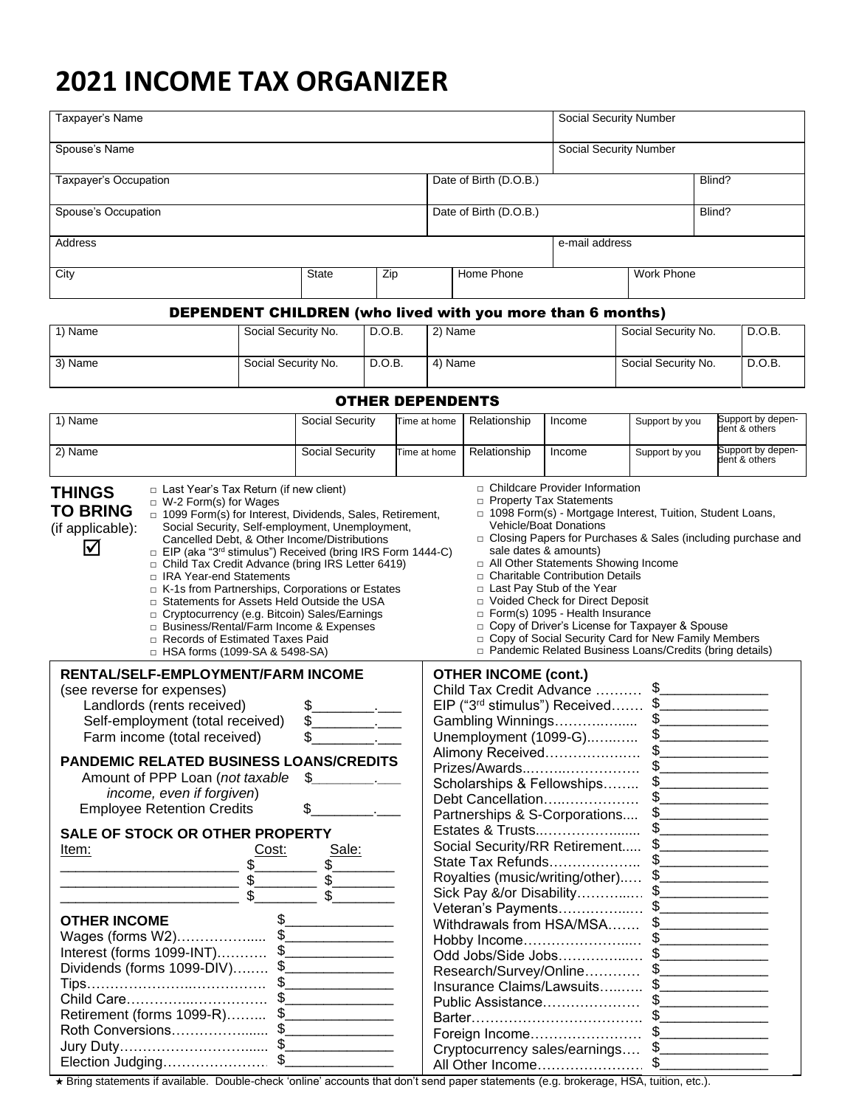# **2021 INCOME TAX ORGANIZER**

| Taxpayer's Name                          |  |            |                        |                                                                   | <b>Social Security Number</b> |        |        |  |
|------------------------------------------|--|------------|------------------------|-------------------------------------------------------------------|-------------------------------|--------|--------|--|
| Spouse's Name                            |  |            |                        |                                                                   | Social Security Number        |        |        |  |
| Taxpayer's Occupation                    |  |            |                        | Date of Birth (D.O.B.)                                            |                               |        | Blind? |  |
| Spouse's Occupation                      |  |            | Date of Birth (D.O.B.) |                                                                   |                               | Blind? |        |  |
| Address                                  |  |            |                        |                                                                   | e-mail address                |        |        |  |
| City<br><b>State</b><br>Zip              |  | Home Phone |                        | Work Phone                                                        |                               |        |        |  |
|                                          |  |            |                        | <b>DEPENDENT CHILDREN</b> (who lived with you more than 6 months) |                               |        |        |  |
| 1) Name<br>Social Security No.<br>D.O.B. |  | 2) Name    |                        | Social Security No.                                               |                               | D.O.B. |        |  |

| 3) Name | 'No.<br>Social Security | D.O.B. | Name | Social Security No. | D.O.B. |
|---------|-------------------------|--------|------|---------------------|--------|
|         |                         |        |      |                     |        |

OTHER DEPENDENTS

| 1) Name                                                                                                                                                                                                                                                                                                                                                                                                                                                                                                                                                                                                                                                                                                                                         | Social Security                                                                                                                                                                                                                                                                                                                                                                                                                                                                                                                                                                                                                                                                                                                                                                                | Time at home | Relationship                | Income                                                                                                                                                                                                                                                                                                                                                                                                                                                                                                                                                     | Support by you | Support by depen-<br>dent & others                             |
|-------------------------------------------------------------------------------------------------------------------------------------------------------------------------------------------------------------------------------------------------------------------------------------------------------------------------------------------------------------------------------------------------------------------------------------------------------------------------------------------------------------------------------------------------------------------------------------------------------------------------------------------------------------------------------------------------------------------------------------------------|------------------------------------------------------------------------------------------------------------------------------------------------------------------------------------------------------------------------------------------------------------------------------------------------------------------------------------------------------------------------------------------------------------------------------------------------------------------------------------------------------------------------------------------------------------------------------------------------------------------------------------------------------------------------------------------------------------------------------------------------------------------------------------------------|--------------|-----------------------------|------------------------------------------------------------------------------------------------------------------------------------------------------------------------------------------------------------------------------------------------------------------------------------------------------------------------------------------------------------------------------------------------------------------------------------------------------------------------------------------------------------------------------------------------------------|----------------|----------------------------------------------------------------|
| 2) Name                                                                                                                                                                                                                                                                                                                                                                                                                                                                                                                                                                                                                                                                                                                                         | Social Security                                                                                                                                                                                                                                                                                                                                                                                                                                                                                                                                                                                                                                                                                                                                                                                | Time at home | Relationship                | Income                                                                                                                                                                                                                                                                                                                                                                                                                                                                                                                                                     | Support by you | Support by depen-<br>dent & others                             |
| □ Last Year's Tax Return (if new client)<br><b>THINGS</b><br>$\Box$ W-2 Form(s) for Wages<br><b>TO BRING</b><br>□ 1099 Form(s) for Interest, Dividends, Sales, Retirement,<br>Social Security, Self-employment, Unemployment,<br>(if applicable):<br>Cancelled Debt, & Other Income/Distributions<br>⊠<br>□ EIP (aka "3 <sup>rd</sup> stimulus") Received (bring IRS Form 1444-C)<br>□ Child Tax Credit Advance (bring IRS Letter 6419)<br>□ IRA Year-end Statements<br>E K-1s from Partnerships, Corporations or Estates<br>□ Statements for Assets Held Outside the USA<br>c Cryptocurrency (e.g. Bitcoin) Sales/Earnings<br>□ Business/Rental/Farm Income & Expenses<br>□ Records of Estimated Taxes Paid<br>□ HSA forms (1099-SA & 5498-SA) |                                                                                                                                                                                                                                                                                                                                                                                                                                                                                                                                                                                                                                                                                                                                                                                                |              |                             | $\Box$ Childcare Provider Information<br>□ Property Tax Statements<br>□ 1098 Form(s) - Mortgage Interest, Tuition, Student Loans,<br><b>Vehicle/Boat Donations</b><br>sale dates & amounts)<br>□ All Other Statements Showing Income<br>□ Charitable Contribution Details<br>□ Last Pay Stub of the Year<br>D Voided Check for Direct Deposit<br>□ Form(s) 1095 - Health Insurance<br>□ Copy of Driver's License for Taxpayer & Spouse<br>copy of Social Security Card for New Family Members<br>□ Pandemic Related Business Loans/Credits (bring details) |                | □ Closing Papers for Purchases & Sales (including purchase and |
| RENTAL/SELF-EMPLOYMENT/FARM INCOME<br>(see reverse for expenses)<br>Landlords (rents received)<br>Self-employment (total received)<br>Farm income (total received)<br><b>PANDEMIC RELATED BUSINESS LOANS/CREDITS</b><br>Amount of PPP Loan (not taxable<br>income, even if forgiven)<br><b>Employee Retention Credits</b>                                                                                                                                                                                                                                                                                                                                                                                                                       | $\begin{picture}(20,20) \put(0,0){\vector(1,0){100}} \put(15,0){\vector(1,0){100}} \put(15,0){\vector(1,0){100}} \put(15,0){\vector(1,0){100}} \put(15,0){\vector(1,0){100}} \put(15,0){\vector(1,0){100}} \put(15,0){\vector(1,0){100}} \put(15,0){\vector(1,0){100}} \put(15,0){\vector(1,0){100}} \put(15,0){\vector(1,0){100}} \put(15,0){\vector(1,0){100}} \$<br>$\begin{picture}(20,20) \put(0,0){\vector(1,0){100}} \put(15,0){\vector(1,0){100}} \put(15,0){\vector(1,0){100}} \put(15,0){\vector(1,0){100}} \put(15,0){\vector(1,0){100}} \put(15,0){\vector(1,0){100}} \put(15,0){\vector(1,0){100}} \put(15,0){\vector(1,0){100}} \put(15,0){\vector(1,0){100}} \put(15,0){\vector(1,0){100}} \put(15,0){\vector(1,0){100}} \$<br>$\sim$ $\sim$<br>$\mathfrak{F}$<br>$\sim$ $\sim$ |              | <b>OTHER INCOME (cont.)</b> | Child Tax Credit Advance  \$<br>EIP ("3 <sup>rd</sup> stimulus") Received \$<br>Gambling Winnings \$<br>Unemployment (1099-G)\$<br>Prizes/Awards\$<br>Scholarships & Fellowships \$<br>Debt Cancellation\$<br>Partnerships & S-Corporations \$                                                                                                                                                                                                                                                                                                             |                |                                                                |
| SALE OF STOCK OR OTHER PROPERTY<br>Cost:<br>Item:<br><b>OTHER INCOME</b><br>Wages (forms W2)\$<br>Interest (forms 1099-INT) \$<br>Dividends (forms 1099-DIV) \$<br>Child Care\$<br>Retirement (forms 1099-R) \$                                                                                                                                                                                                                                                                                                                                                                                                                                                                                                                                 | Sale:<br>$\sqrt[6]{\frac{1}{2}}$<br>$\frac{1}{2}$                                                                                                                                                                                                                                                                                                                                                                                                                                                                                                                                                                                                                                                                                                                                              |              |                             | Social Security/RR Retirement \$<br>Royalties (music/writing/other) \$<br>Sick Pay &/or Disability\$<br>Veteran's Payments\$<br>Withdrawals from HSA/MSA \$<br>Research/Survey/Online \$<br>Insurance Claims/Lawsuits \$<br>Foreign Income \$<br>Cryptocurrency sales/earnings \$<br>All Other Income\$_                                                                                                                                                                                                                                                   |                |                                                                |

Bring statements if available. Double-check 'online' accounts that don't send paper statements (e.g. brokerage, HSA, tuition, etc.).